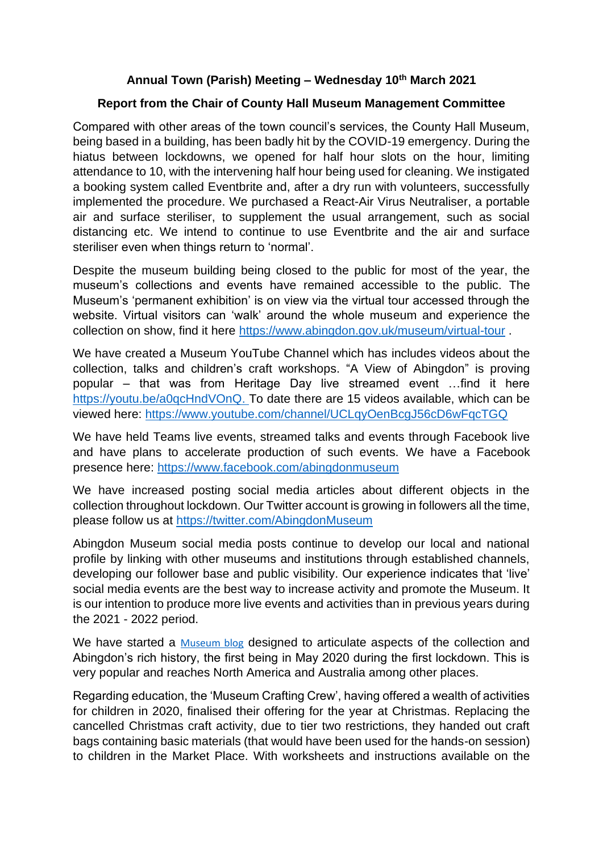## **Annual Town (Parish) Meeting – Wednesday 10th March 2021**

## **Report from the Chair of County Hall Museum Management Committee**

Compared with other areas of the town council's services, the County Hall Museum, being based in a building, has been badly hit by the COVID-19 emergency. During the hiatus between lockdowns, we opened for half hour slots on the hour, limiting attendance to 10, with the intervening half hour being used for cleaning. We instigated a booking system called Eventbrite and, after a dry run with volunteers, successfully implemented the procedure. We purchased a React-Air Virus Neutraliser, a portable air and surface steriliser, to supplement the usual arrangement, such as social distancing etc. We intend to continue to use Eventbrite and the air and surface steriliser even when things return to 'normal'.

Despite the museum building being closed to the public for most of the year, the museum's collections and events have remained accessible to the public. The Museum's 'permanent exhibition' is on view via the virtual tour accessed through the website. Virtual visitors can 'walk' around the whole museum and experience the collection on show, find it here<https://www.abingdon.gov.uk/museum/virtual-tour> .

We have created a Museum YouTube Channel which has includes videos about the collection, talks and children's craft workshops. "A View of Abingdon" is proving popular – that was from Heritage Day live streamed event …find it here [https://youtu.be/a0qcHndVOnQ.](https://youtu.be/a0qcHndVOnQ) To date there are 15 videos available, which can be viewed here: <https://www.youtube.com/channel/UCLqyOenBcgJ56cD6wFqcTGQ>

We have held Teams live events, streamed talks and events through Facebook live and have plans to accelerate production of such events. We have a Facebook presence here: <https://www.facebook.com/abingdonmuseum>

We have increased posting social media articles about different objects in the collection throughout lockdown. Our Twitter account is growing in followers all the time, please follow us at <https://twitter.com/AbingdonMuseum>

Abingdon Museum social media posts continue to develop our local and national profile by linking with other museums and institutions through established channels, developing our follower base and public visibility. Our experience indicates that 'live' social media events are the best way to increase activity and promote the Museum. It is our intention to produce more live events and activities than in previous years during the 2021 - 2022 period.

We have started a [Museum blog](https://www.abingdon.gov.uk/museum/abingdon-museum-blog) designed to articulate aspects of the collection and Abingdon's rich history, the first being in May 2020 during the first lockdown. This is very popular and reaches North America and Australia among other places.

Regarding education, the 'Museum Crafting Crew', having offered a wealth of activities for children in 2020, finalised their offering for the year at Christmas. Replacing the cancelled Christmas craft activity, due to tier two restrictions, they handed out craft bags containing basic materials (that would have been used for the hands-on session) to children in the Market Place. With worksheets and instructions available on the